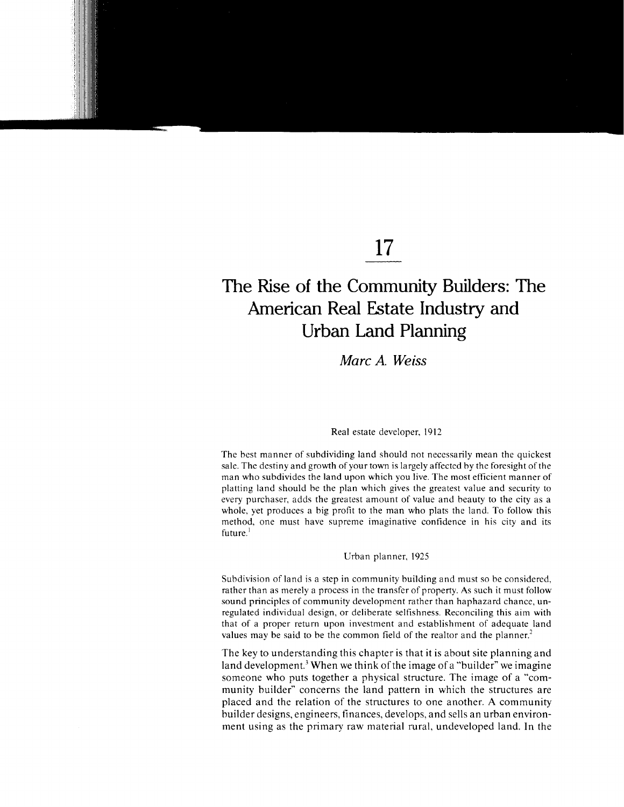## The Rise of the Community Builders: The American Real Estate Industry and Urban Land Planning

Marc A. Weiss

Real estate developer, l9l2

The best manner of subdividing land should not necessarily mean the quickest sale. The destiny and growth of your town is largely affected by the foresight of the man who subdivides the land upon which you live. The most efficient manner of platting land should be the plan which gives the greatest value and security to every purchaser, adds the greatest amount of value and beauty to the city as a whole, yet produces a big profit to the man who plats the land. To follow this method, one must have supreme imaginative confidence in his city and its future.<sup>1</sup>

Urban planner, 1925

Subdivision of land is a step in communiry building and must so be considered, rather than as merely a process in the transfer of properfy. As such it must follow sound principles of community development rather than haphazard chance, unregulated individual design, or deliberate selfishness. Reconciling this aim with that of a proper return upon investment and establishment of adequate land values may be said to be the common field of the realtor and the planner.<sup>2</sup>

The key to understanding this chapter is that it is about site planning and land development.<sup>3</sup> When we think of the image of a "builder" we imagine someone who puts together a physical structure. The image of a "community builder" concerns the land pattern in which the structures are placed and the relation of the structures to one another. A community builder designs, engineers, finances, develops, and sells an urban environment using as the primary raw material rural, undeveloped land. In the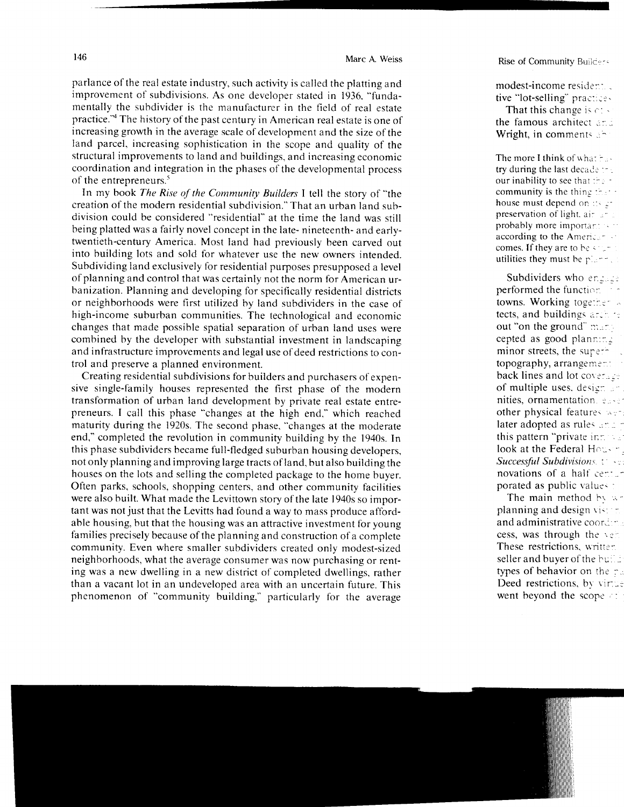parlance of the real estate industry, such activity is called the platting and improvement of subdivisions. As one developer stated in 1936, "fundamentally the subdivider is the manufacturer in the field of real estate practice.'{ The history of the past century in American real estate is one of increasing growth in the average scale of development and the size of the land parcel, increasing sophistication in the scope and quality of the structural improvements to land and buildings, and increasing economic coordination and integration in the phases of the developmental process of the entrepreneurs. $5$ 

In my book The Rise of the Community Builders I tell the story of "the creation of the modern residential subdivision." That an urban land subdivision could be considered "residential" at the time the land was still being platted was a fairly novel concept in the late- nineteenth- and earlytwentieth-century America. Most land had previously been carved out into building lots and sold for whatever use the new owners intended. Subdividing land exclusively for residential purposes presupposed a level of planning and control that was certainly not the norm for American urbanization. Planning and developing for specihcally residential districts or neighborhoods were {irst utilized by land subdividers in the case of high-income suburban communities. The technological and economic changes that made possible spatial separation of urban land uses were combined by the developer with substantial investment in landscaping and infrastructure improvements and legal use of deed restrictions to control and preserve a planned environment.

Creating residential subdivisions for builders and purchasers of expensive single-family houses represented the first phase of the modern transformation of urban land development by private real estate entrepreneurs. I call this phase "changes at the high end," which reached maturity during the 1920s. The second phase, "changes at the moderate end," completed the revolution in community building by the 1940s. In this phase subdividers became full-fledged suburban housing developers, not only planning and improving large tracts of land, but also building the houses on the lots and selling the completed package to the home buyer. Often parks, schools, shopping centers, and other community facilities were also built. What made the Levittown story of the late 1940s so important was not just that the Levitts had found a way to mass produce affordable housing, but that the housing was an attractive investment for young families precisely because of the planning and construction of a complete community. Even where smaller subdividers created only modest-sized neighborhoods, what the average consumer was now purchasing or renting was a new dwelling in a new district of completed dwellings, rather than a vacant lot in an undeveloped area with an uncertain future. This phenomenon of "community building," particularly for the average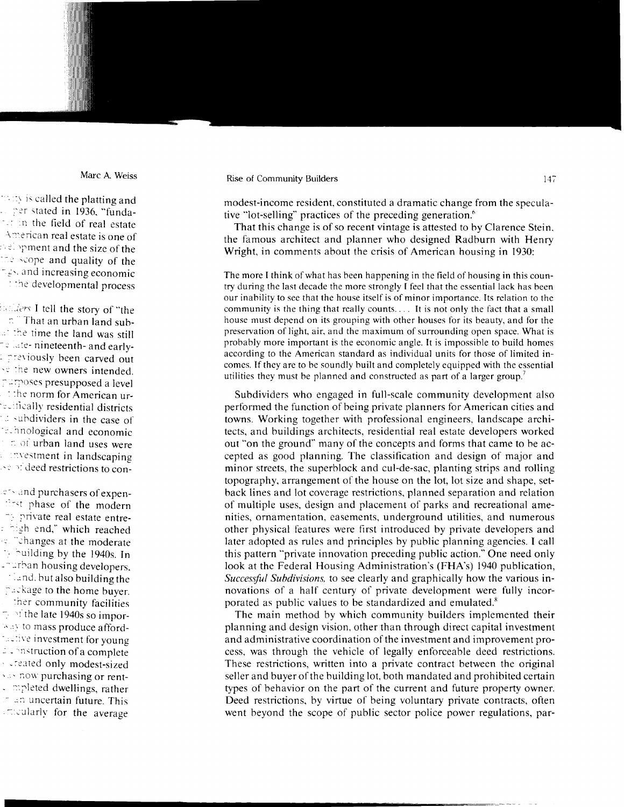modest-income resident, constituted a dramatic change from the speculative "lot-selling" practices of the preceding generation.<sup>6</sup>

That this change is of so recent vintage is attested to by Clarence Stein. the famous architect and planner who designed Radburn with Henry Wright, in comments about the crisis of American housing in 1930:

The more I think of what has been happening in the field of housing in this country during the last decade the more strongly I feel that the essential lack has been our inability to see that the house itself is of minor importance. Its relation to the community is the thing that really counts.... It is not only the fact that a small house must depend on its grouping with other houses for its beauty, and for the preservation of light, air, and the maximum of surrounding open space. What is probably more important is the economic angle. It is impossible to build homes according to the American standard as individual units for those of limited incomes. If they are to be soundly built and completely equipped with the essential utilities they must be planned and constructed as part of a larger group.<sup>7</sup>

Subdividers who engaged in full-scale community development also performed the function of being private planners for American cities and towns. Working together with professional engineers, landscape architects, and buildings architects, residential real estate developers worked out "on the ground" many of the concepts and forms that came to be accepted as good planning. The classification and design of major and minor streets, the superblock and cul-de-sac, planting strips and rolling topography, arrangement of the house on the lot, lot size and shape, setback lines and lot coverage restrictions, planned separation and relation of multiple uses, design and placement of parks and recreational amenities, ornamentation, easements, underground utilities, and numerous other physical features were first introduced by private developers and later adopted as rules and principles by public planning agencies. I call this pattern "private innovation preceding public action." One need only look at the Federal Housing Administration's (FHA's) 1940 publication, Successful Subdivisions, to see clearly and graphically how the various innovations of a half century of private development were fully incorporated as public values to be standardized and emulated.<sup>8</sup>

The main method by which community builders implemented their planning and design vision, other than through direct capital investment and administrative coordination of the investment and improvement process, was through the vehicle of legally enforceable deed restrictions. These restrictions, written into a private contract between the original seller and buyer of the building lot, both mandated and prohibited certain types of behavior on the part of the current and future property owner. Deed restrictions, by virtue of being voluntary private contracts, often went beyond the scope of public sector police power regulations, par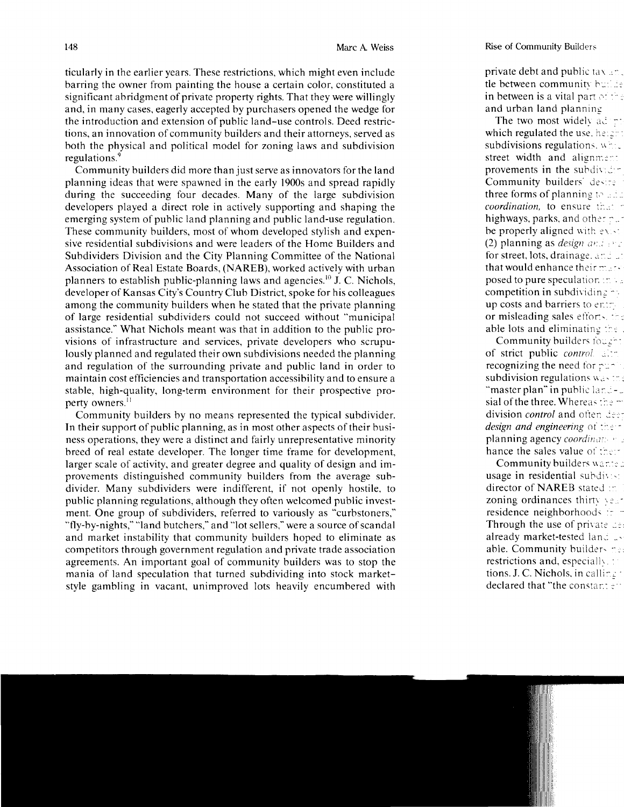ticularly in the earlier years. These restrictions, which might even include barring the owner from painting the house a certain color, constituted a significant abridgment of private property rights. That they were willingly and, in many cases, eagerly accepted by purchasers opened the wedge for the introduction and extension of public land-use controls. Deed restrictions, an innovation of community builders and their attorneys, served as both the physical and political model for zoning laws and subdivision regulations.<sup>9</sup>

Community builders did more than just serve as innovators for the land planning ideas that were spawned in the early 1900s and spread rapidly during the succeeding four decades. Many of the large subdivision developers played a direct role in actively supporting and shaping the emerging system of public land planning and public land-use regulation. These community builders, most of whom developed stylish and expensive residential subdivisions and were leaders of the Home Builders and Subdividers Division and the City Planning Committee of the National Association of Real Estate Boards, (NAREB), worked actively with urban planners to establish public-planning laws and agencies.<sup>10</sup> J. C. Nichols, developer of Kansas City's Country Club District, spoke for his colleagues among the community builders when he stated that the private planning of large residential subdividers could not succeed without "municipal assistance." What Nichols meant was that in addition to the public provisions of infrastructure and services, private developers who scrupulously planned and regulated their own subdivisions needed the planning and regulation of the surrounding private and public land in order to maintain cost efficiencies and transportation accessibility and to ensure a stable, high-quality, long-term environment for their prospective property owners. $<sup>11</sup>$ </sup>

Community builders by no means represented the typical subdivider. In their support of public planning, as in most other aspects of their business operations, they were a distinct and fairly unrepresentative minority breed of real estate developer. The longer time frame for development, larger scale of activity, and greater degree and quality of design and improvements distinguished community builders from the average subdivider. Many subdividers were indifferent, if not openly hostile, to public planning regulations, although they often welcomed public investment. One group of subdividers, referred to variously as "curbstoners," "fly-by-nights," "land butchers," and "lot sellers," were a source of scandal and market instability that community builders hoped to eliminate as competitors through government regulation and private trade association agreements. An important goal of community builders was to stop the mania of land speculation that turned subdividing into stock marketstyle gambling in vacant, unimproved lots heavily encumbered with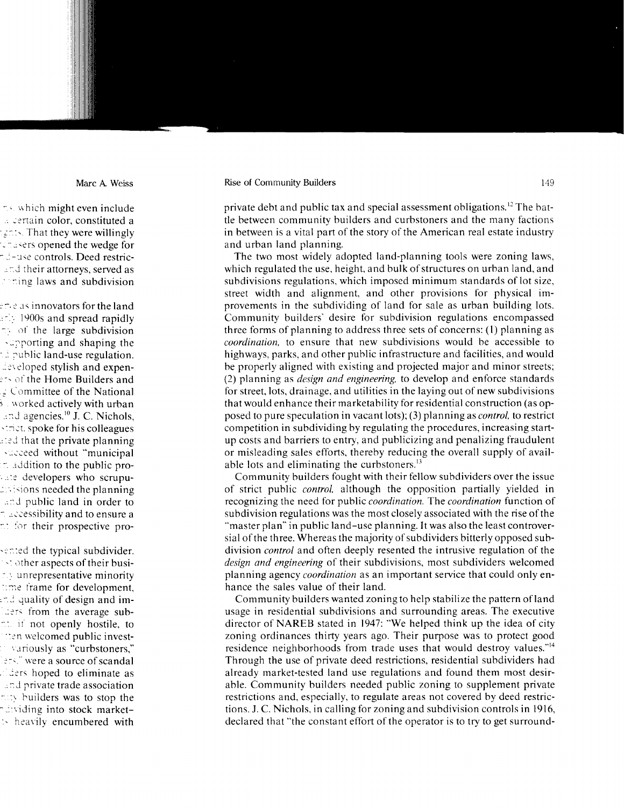private debt and public tax and special assessment obligations.<sup>12</sup> The battle between community builders and curbstoners and the many factions in between is a vital part of the story of the American real estate industry and urban land planning.

The two most widely adopted land-planning tools were zoning laws, which regulated the use, height, and bulk of structures on urban land, and subdivisions regulations, which imposed minimum standards of lot size. street width and alignment, and other provisions for physical improvements in the subdividing of land for sale as urban building lots. Community builders' desire for subdivision regulations encompassed three forms of planning to address three sets of concerns: (1) planning as *coordination*, to ensure that new subdivisions would be accessible to highways, parks, and other public infrastructure and facilities, and would be properly aligned with existing and projected major and minor streets; (2) planning as *design and engineering*, to develop and enforce standards for street, lots, drainage, and utilities in the laying out of new subdivisions that would enhance their marketability for residential construction (as opposed to pure speculation in vacant lots); (3) planning as *control*, to restrict competition in subdividing by regulating the procedures, increasing startup costs and barriers to entry, and publicizing and penalizing fraudulent or misleading sales efforts, thereby reducing the overall supply of available lots and eliminating the curbstoners.<sup>13</sup>

Community builders fought with their fellow subdividers over the issue of strict public *control*, although the opposition partially vielded in recognizing the need for public *coordination*. The *coordination* function of subdivision regulations was the most closely associated with the rise of the "master plan" in public land-use planning. It was also the least controversial of the three. Whereas the majority of subdividers bitterly opposed subdivision *control* and often deeply resented the intrusive regulation of the design and engineering of their subdivisions, most subdividers welcomed planning agency *coordination* as an important service that could only enhance the sales value of their land.

Community builders wanted zoning to help stabilize the pattern of land usage in residential subdivisions and surrounding areas. The executive director of NAREB stated in 1947: "We helped think up the idea of city zoning ordinances thirty years ago. Their purpose was to protect good residence neighborhoods from trade uses that would destroy values."<sup>14</sup> Through the use of private deed restrictions, residential subdividers had already market-tested land use regulations and found them most desirable. Community builders needed public zoning to supplement private restrictions and, especially, to regulate areas not covered by deed restrictions. J. C. Nichols, in calling for zoning and subdivision controls in 1916, declared that "the constant effort of the operator is to try to get surround-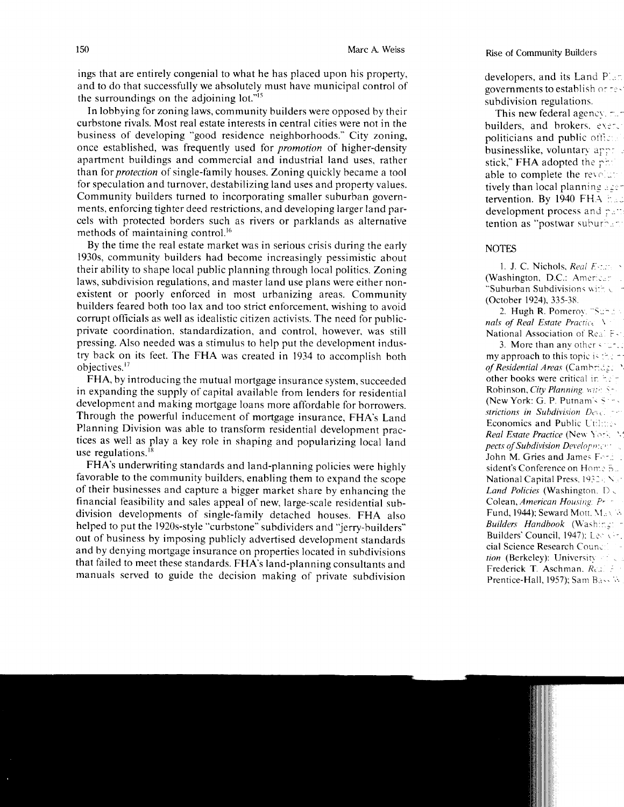ings that are entirely congenial to what he has placed upon his property, and to do that successfully we absolutely must have municipal control of the surroundings on the adjoining lot." $15$ 

In lobbying for zoning laws, community builders were opposed by their curbstone rivals. Most real estate interests in central cities were not in the business of developing "good residence neighborhoods." City zoning, once established, was frequently used for promotion of higher-density apartment buildings and commercial and industrial land uses, rather than for protection of single-family houses. Zoning quickly became a tool for speculation and turnover, destabilizing land uses and property values. Community builders turned to incorporating smaller suburban governments, enforcing tighter deed restrictions, and developing larger land parcels with protected borders such as rivers or parklands as alternative methods of maintaining control.<sup>16</sup>

By the time the real estate market was in serious crisis during the early 1930s, community builders had become increasingly pessimistic about their ability to shape local public planning through local politics. Zoning laws, subdivision regulations, and master land use plans were either nonexistent or poorly enforced in most urbanizing areas. Community builders feared both too lax and too strict enforcement, wishing to avoid corrupt officials as well as idealistic citizen activists. The need for publicprivate coordination, standardization, and control, however, was still pressing. Also needed was a stimulus to help put the development industry back on its feet. The FHA was created in 1934 to accomplish both objectives.<sup>17</sup>

FHA, by introducing the mutual mortgage insurance system, succeeded in expanding the supply of capital available from lenders for residential development and making mortgage loans more affordable for borrowers. Through the powerful inducement of mortgage insurance, FHA's Land Planning Division was able to transform residential development practices as well as play a key role in shaping and popularizing local land use regulations.<sup>18</sup>

FHA's underwriting standards and land-planning policies were highly favorable to the community builders, enabling them to expand the scope of their businesses and capture a bigger market share by enhancing the financial feasibility and sales appeal of new, large-scale residential subdivision developments of single-family detached houses. FHA also helped to put the 1920s-style "curbstone" subdividers and'jerry-builders" out of business by imposing publicly advertised development standards and by denying mortgage insurance on properties located in subdivisions that failed to meet these standards. FHA's land-planning consultants and manuals served to guide the decision making of private subdivision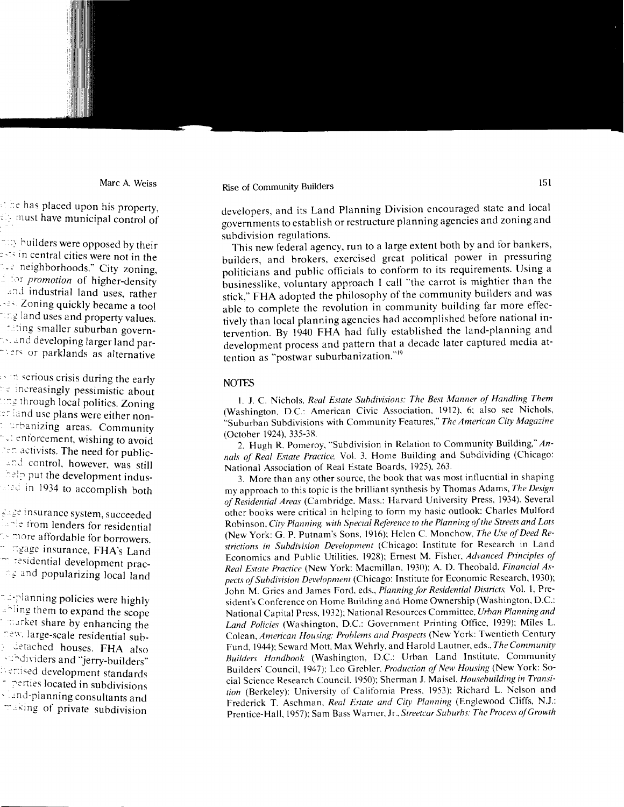developers, and its Land Planning Division encouraged state and local govern'ments to establish or restructure planning agencies and zoning and subdivision regulations.

This new federal agency, run to a large extent both by and for bankers, builders, and brokers, exercised great political power in pressuring politicians and public officials to conform to its requirements. Using <sup>a</sup> tusinesslike, voluntary approach I call "the carrot is mightier than the stick," FHA adopted the philosophy of the community builders and was able to complete the revolution in community building far more effectively than local planning agencies had accomplished before national intervention. By 1940 FHA had fully established the land-planning and development process and pattern that\_a decade later captured media attention as "postwar suburbanization."<sup>19</sup>

## **NOTES**

.<br>,  $\int$ 

 $\ddot{\phantom{a}}$  :

1. J. C. Nichols, Real Estate Subdivisions: The Best Manner of Handling Them (Washington, D.C.: American Civic Association, l9l2), 6; also see Nichols, "Suburban Subdivisions with Community Features," The American City Magazine (october 1924), 335-38.

2. Hugh R. Pomeroy, "Subdivision in Relation to Community Building,"  $An$ nals of Real Estate Practice, Vol. 3, Home Building and Subdividing (Chicago: National Association of Real Estate Boards, 1925), 263.

3. More than any other source, the book that was most influential in shaping my approach to this topic is the brilliant synthesis by Thomas Adams, The Design of Residential Areas (Cambridge, Mass.: Harvard University Press, 1934). Several other books were critical in helping to form my basic outlook: Charles Mulford Robinson, City Planning, with Special Reference to the Planning of the Streets and Lots (New York: G. P. Putnam's Sons, 1916); Helen C. Monchow, The Use of Deed Restrictions in Subdivision Development (Chicago: Institute for Research in Land Economics and Public Utilities, 1928); Ernest M. Fisher, Advanced Principles of Real Estate Practice (New York: Macmillan, 1930); A. D. Theobald, Financial As' pects of Subdivision Development (Chicago: Institute for Economic Research, 1930); John M. Gries and James Ford, eds., Planning for Residential Districts, Vol. 1, President's Conference on Home Building and Home Ownership (Washington, D.C.: National Capital Press, 1932); National Resources Committee, Urban Planning and Land Policies (Washington, D.C.: Government Printing Office, 1939); Miles L' Colean, American Housing: Problems and Prospects (New York: Twentieth Century Fund, 1944); Seward Mott, Max Wehrly, and Harold Lautner, eds., The Community Builders Handbook (Washington, D.C.: Urban Land Institute, Community Builders' Council, 1947); Leo Grebler, Production of New Housing (New York: Social Science Research Council, 1950); Sherman J. Maisel, Housebuilding in Transi' tion (Berkeley): University of California Press, 1953); Richard L. Nelson and Frederick T. Aschman, Real Estate and City Planning (Englewood Cliffs, N.J.: Prentice-Hall, 1957); Sam Bass Warner, Jr., Streetcar Suburbs: The Process of Growth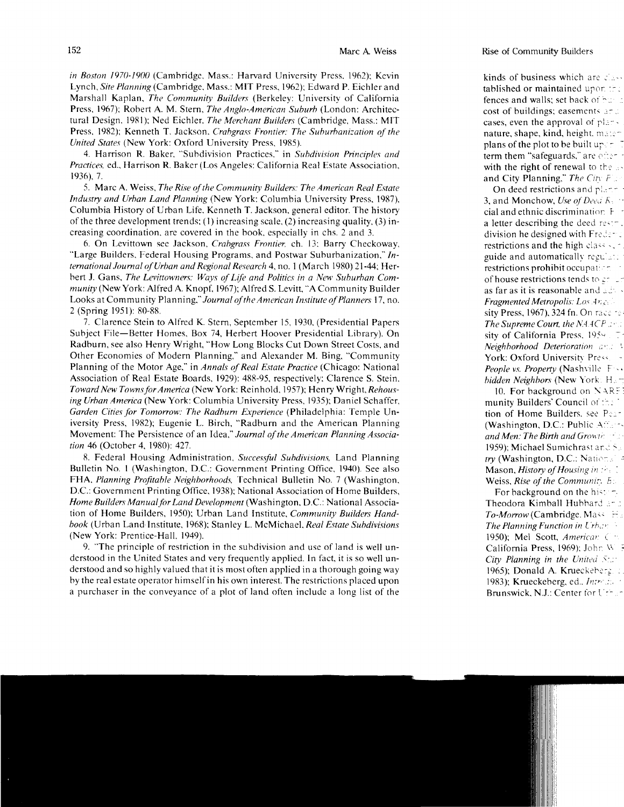in Boston 1970-1900 (Cambridge, Mass.: Harvard University Press, 1962); Kevin Lynch, Site Planning (Cambridge, Mass.: MIT Press, 1962); Edward P. Eichler and Marshall Kaplan, *The Community Builders* (Berkeley: University of California Press, 1967); Robert A. M. Stern, The Anglo-American Suburb (London: Architectural Design, 1981); Ned Eichler, The Merchant Builders (Cambridge, Mass.: MIT Press, 1982); Kenneth T. Jackson, Crabgrass Frontier: The Suburbanization of the United States (New York: Oxford University Press, 1985).

4. Harrison R. Baker, "Subdivision Practices," in Subdivision Principles and Practices, ed., Harrison R. Baker (Los Angeles: California Real Estate Association, 1936), 7.

5. Marc A. Weiss, The Rise of the Community Builders: The American Real Estate Industry and Urban Land Planning (New York: Columbia University Press, 1987), Columbia History of Urban Life, Kenneth T. Jackson, general editor. The history of the three development trends; (1) increasing scale, (2) increasing quality, (3) increasing coordination, are covered in the book, especially in chs. 2 and 3.

6. On Levittown see Jackson, Crabgrass Frontier, ch. 13; Barry Checkoway, "Large Builders, Federal Housing Programs, and Postwar Suburbanization," International Journal of Urban and Regional Research 4, no. 1 (March 1980) 21-44; Herbert J. Gans, The Levittowners: Ways of Life and Politics in a New Suburban Community (New York: Alfred A. Knopf, 1967); Alfred S. Levitt, "A Community Builder Looks at Community Planning," Journal of the American Institute of Planners 17, no. 2 (Spring 1951): 80-88.

7. Clarence Stein to Alfred K. Stern, September 15, 1930, (Presidential Papers Subject File-Better Homes, Box 74, Herbert Hoover Presidential Library). On Radburn, see also Henry Wright, "How Long Blocks Cut Down Street Costs, and Other Economies of Modern Planning," and Alexander M. Bing, "Community Planning of the Motor Age," in Annals of Real Estate Practice (Chicago: National Association of Real Estate Boards, 1929): 488-95, respectively; Clarence S. Stein, Toward New Towns for America (New York: Reinhold, 1957); Henry Wright, Rehousing Urban America (New York: Columbia University Press, 1935); Daniel Schaffer, Garden Cities for Tomorrow: The Radburn Experience (Philadelphia: Temple University Press, 1982); Eugenie L. Birch, "Radburn and the American Planning Movement: The Persistence of an Idea," Journal of the American Planning Association 46 (October 4, 1980): 427.

8. Federal Housing Administration, Successful Subdivisions, Land Planning Bulletin No. 1 (Washington, D.C.: Government Printing Office, 1940). See also FHA, Planning Profitable Neighborhoods, Technical Bulletin No. 7 (Washington, D.C.: Government Printing Office, 1938); National Association of Home Builders, Home Builders Manual for Land Development (Washington, D.C.: National Association of Home Builders, 1950); Urban Land Institute, Community Builders Handbook (Urban Land Institute, 1968); Stanley L. McMichael, Real Estate Subdivisions (New York: Prentice-Hall, 1949).

9. "The principle of restriction in the subdivision and use of land is well understood in the United States and very frequently applied. In fact, it is so well understood and so highly valued that it is most often applied in a thorough going way by the real estate operator himself in his own interest. The restrictions placed upon a purchaser in the conveyance of a plot of land often include a long list of the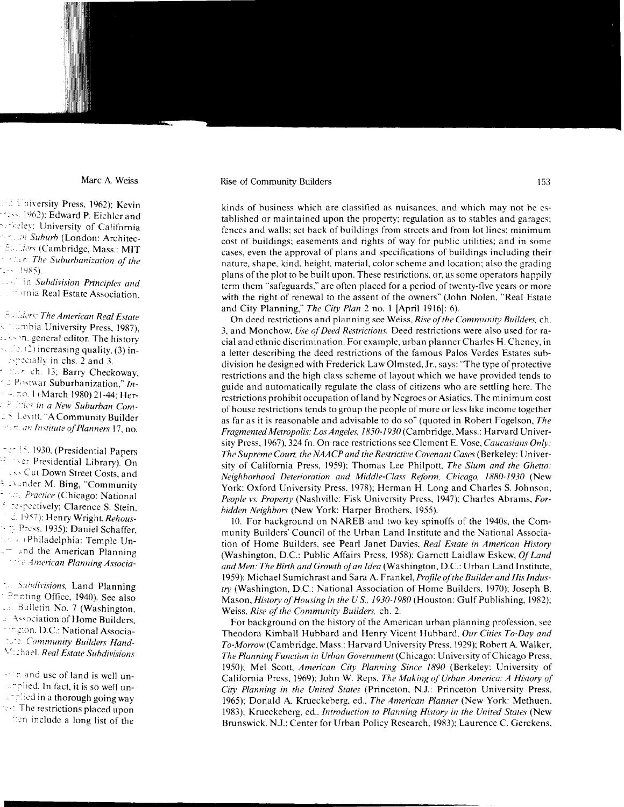kinds of business which are classified as nuisances, and which may not be established or maintained upon the property; regulation as to stables and garages; fences and walls; set back of buildings from streets and from lot lines; minimum cost of buildings; easements and rights of way for public utilities; and in some cases, even the approval of plans and specifications of buildings including their nature, shape, kind, height, material, color scheme and location; also the grading plans of the plot to be built upon. These restrictions, or, as some operators happily term them "safeguards," are often placed for a period of twenty-five years or more with the right of renewal to the assent of the owners" (John Nolen, "Real Estate and City Planning," The City Plan 2 no. 1 [April 1916]: 6).

On deed restrictions and planning see Weiss, Rise of the Community Builders, ch. 3. and Monchow, Use of Deed Restrictions. Deed restrictions were also used for racial and ethnic discrimination. For example, urban planner Charles H. Cheney, in a letter describing the deed restrictions of the famous Palos Verdes Estates subdivision he designed with Frederick Law Olmsted, Jr., says: "The type of protective restrictions and the high class scheme of layout which we have provided tends to guide and automatically regulate the class of citizens who are settling here. The restrictions prohibit occupation of land by Negroes or Asiatics. The minimum cost of house restrictions tends to group the people of more or less like income together as far as it is reasonable and advisable to do so" (quoted in Robert Fogelson, The Fragmented Metropolis: Los Angeles, 1850-1930 (Cambridge, Mass.: Harvard University Press, 1967), 324 fn. On race restrictions see Clement E. Vose, Caucasians Only: The Supreme Court, the NAACP and the Restrictive Covenant Cases (Berkeley: University of California Press, 1959); Thomas Lee Philpott, The Slum and the Ghetto: Neighborhood Deterioration and Middle-Class Reform, Chicago, 1880-1930 (New York: Oxford University Press, 1978); Herman H. Long and Charles S. Johnson, People vs. Property (Nashville: Fisk University Press, 1947); Charles Abrams, Forbidden Neighbors (New York: Harper Brothers, 1955).

10. For background on NAREB and two key spinoffs of the 1940s, the Community Builders' Council of the Urban Land Institute and the National Association of Home Builders, see Pearl Janet Davies, Real Estate in American History (Washington, D.C.: Public Affairs Press, 1958); Garnett Laidlaw Eskew, Of Land and Men: The Birth and Growth of an Idea (Washington, D.C.: Urban Land Institute, 1959); Michael Sumichrast and Sara A. Frankel, Profile of the Builder and His Industry (Washington, D.C.: National Association of Home Builders, 1970); Joseph B. Mason, History of Housing in the U.S., 1930-1980 (Houston: Gulf Publishing, 1982); Weiss, Rise of the Community Builders, ch. 2.

For background on the history of the American urban planning profession, see Theodora Kimball Hubbard and Henry Vicent Hubbard, Our Cities To-Day and To-Morrow (Cambridge, Mass.: Harvard University Press, 1929); Robert A. Walker, The Planning Function in Urban Government (Chicago: University of Chicago Press, 1950); Mel Scott, American City Planning Since 1890 (Berkeley: University of California Press, 1969); John W. Reps, The Making of Urban America: A History of City Planning in the United States (Princeton, N.J.: Princeton University Press, 1965); Donald A. Krueckeberg, ed., The American Planner (New York: Methuen, 1983); Krueckeberg, ed., Introduction to Planning History in the United States (New Brunswick, N.J.: Center for Urban Policy Research, 1983); Laurence C. Gerckens,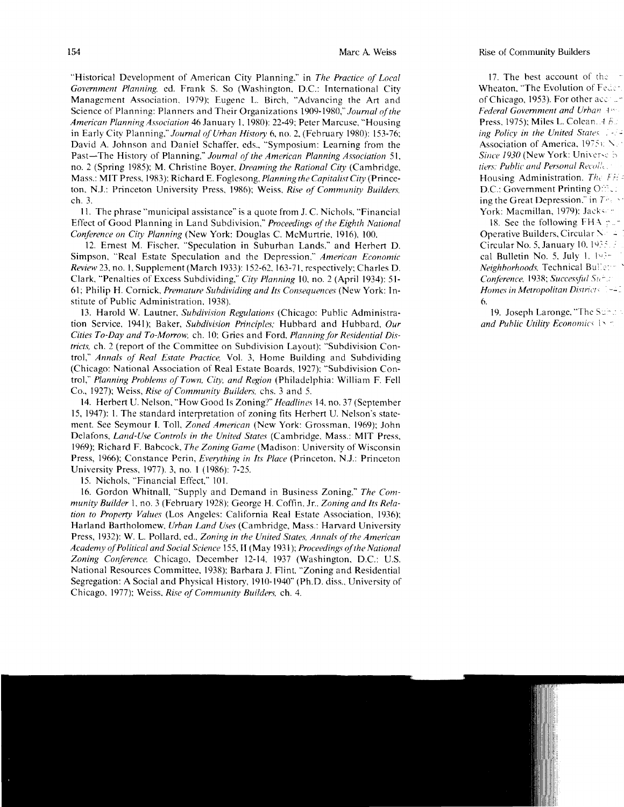"Historical Development of American City Planning," in The Practice of Local Govemment Planning, ed. Frank S. So (Washington, D.C.: International City Management Association. 1979); Eugene L. Birch, "Advancing the Art and Science of Planning: Planners and Their Organizations 1909-1980," Journal of the American Planning Association 46 January 1, 1980): 22-49; Peter Marcuse, "Housing in Early City Planning," Journal of Urban History 6, no. 2, (February 1980): 153-76; David A. Johnson and Daniel Schaffer. eds., "Symposium: Learning from the Past-The History of Planning," Journal of the American Planning Association 51, no. 2 (Spring 1985); M. Christine Boyer, *Dreaming the Rational City* (Cambridge, Mass.: MIT Press, 1983); Richard E. Foglesong, Planningthe Capitalist City (Princeton, N.J.: Princeton University Press, 1986); Weiss, Rise of Community Builders, ch. 3.

<sup>I</sup>l. The phrase "municipal assistance" is a quote from J. C. Nichols, "Financial Effect of Good Planning in Land Subdivision," Proceedings of the Eighth National Conference on City Planning (New York: Douglas C. McMurtrie, 1916), 100.

12. Ernest M. Fischer, "Speculation in Suburban Lands," and Herbert D. Simpson, "Real Estate Speculation and the Depression," American Economic Review 23, no. l, Supplement (March 1933):152-62,163-71, respectively; Charles D. Clark, "Penalties of Excess Subdividing," City Planning 10. no. 2 (April l93a): 5l-6l; Philip H. Cornick, Premature Subdividing and lts Consequences (New York: Institute of Public Administration, 1938).

13. Harold W. Lautner, Subdivision Regulations (Chicago: Public Administration Service, 1941); Baker, Subdivision Principles; Hubbard and Hubbard, Our Cities To-Day and To-Morrow, ch. 10; Gries and Ford, Planning for Residential Districts, ch. 2 (report of the Committee on Subdivision Layout); "Subdivision Control," Annals of Real Estate Practice, Vol. 3, Home Building and Subdividing (Chicago: National Association of Real Estate Boards, 1927): "Subdivision Control," Planning Problems of Town, City, and Region (Philadelphia: William F. Fell Co., 1927); Weiss, Rise of Community Builders, chs. 3 and 5.

14. Herbert U. Nelson, "How Good Is Zoning?" Headlines 14, no. 37 (September 15, 1947): l. The standard interpretation of zoning frts Herbert U. Nelson's statement. See Seymour I. Toll, Zoned American (New York: Grossman, 1969); John Delafons, Land-Use Controls in the United Srares (Cambridge. Mass.: MIT Press, 1969); Richard F. Babcock, The Zoning Game (Madison: University of Wisconsin Press, 1966); Constance Perin, Everything in Its Place (Princeton, N.J.: Princeton University Press. 1977).3, no. I (1986): 7-25.

15. Nichols, "Financial Effect," l0l.

16. Gordon Whitnall, "Supply and Demand in Business Zoning," The Community Builder 1, no. 3 (February 1928); George H. Coffin, Jr., Zoning and Its Relation to Property Values (Los Angeles: California Real Estate Association, 1936); Harland Bartholomew, Urban Land Uses (Cambridge, Mass.: Harvard University Press, 1932): W. L. Pollard, ed., Zoning in the United States, Annals of the American Academy of Political and Social Science 155, II (May l93l); Proceedings of the National Zoning Conference, Chicago, December 12-14, 1937 (Washington, D.C.: U.S. National Resources Committee, 1938); Barbara J. Flint, "Zoning and Residential Segregation: A Social and Physical History, l9l0-1940" (Ph.D. diss., University of Chicago, 1977); Weiss, Rise of Community Builders, ch. 4.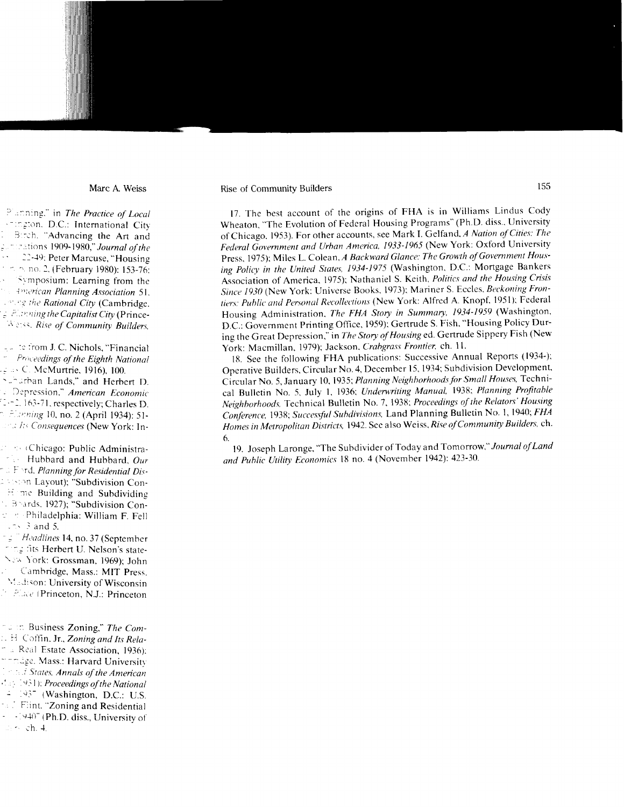17. The best account of the origins of FHA is in Williams Lindus Cody Wheaton, "The Evolution of Federal Housing Programs" (Ph.D. diss., University of Chicago, 1953). For other accounts, see Mark I. Gelfand, A Nation of Cities: The Federal Government and Urban America, 1933-1965 (New York: Oxford University Press, 1975); Miles L. Colean, A Backward Glance: The Growth of Government Housing Policy in the United States, 1934-1975 (Washington, D.C.: Mortgage Bankers Association of America, 1975); Nathaniel S. Keith, Politics and the Housing Crisis Since 1930 (New York: Universe Books, 1973); Mariner S. Eccles, Beckoning Frontiers: Public and Personal Recollections (New York: Alfred A. Knopf, 1951); Federal Housing Administration, The FHA Story in Summary, 1934-1959 (Washington, D.C.: Government Printing Office, 1959); Gertrude S. Fish, "Housing Policy During the Great Depression," in The Story of Housing ed. Gertrude Sippery Fish (New York: Macmillan, 1979); Jackson, Crabgrass Frontier, ch. 11.

18. See the following FHA publications: Successive Annual Reports (1934-); Operative Builders, Circular No. 4, December 15, 1934; Subdivision Development, Circular No. 5, January 10, 1935; Planning Neighborhoods for Small Houses, Technical Bulletin No. 5, July 1, 1936; Underwriting Manual, 1938; Planning Profitable Neighborhoods, Technical Bulletin No. 7, 1938; Proceedings of the Relators' Housing Conference, 1938; Successful Subdivisions, Land Planning Bulletin No. 1, 1940; FHA Homes in Metropolitan Districts, 1942. See also Weiss, Rise of Community Builders, ch. 6.

19. Joseph Laronge, "The Subdivider of Today and Tomorrow," Journal of Land and Public Utility Economics 18 no. 4 (November 1942): 423-30.